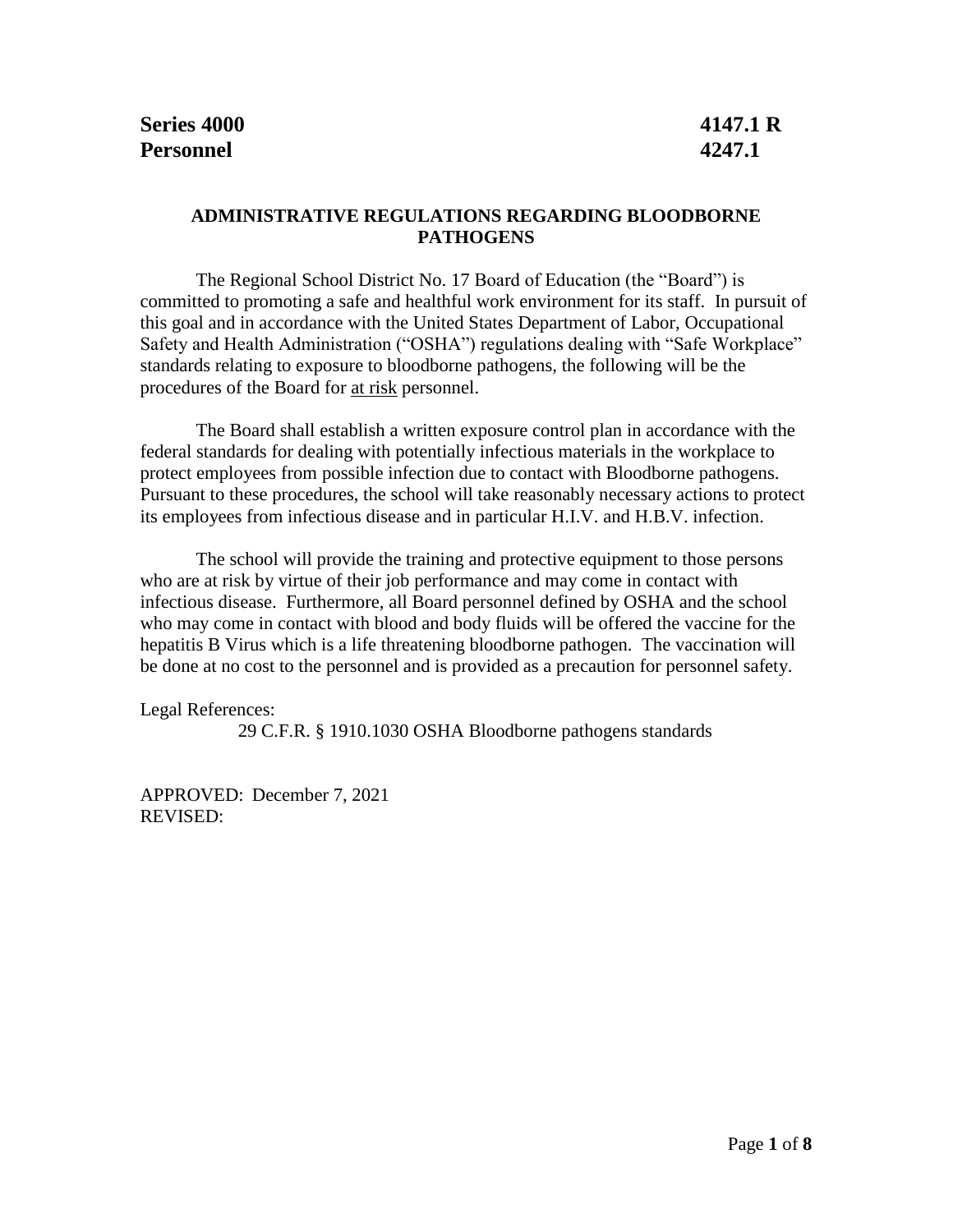## **ADMINISTRATIVE REGULATIONS REGARDING BLOODBORNE PATHOGENS**

The Regional School District No. 17 Board of Education (the "Board") is committed to promoting a safe and healthful work environment for its staff. In pursuit of this goal and in accordance with the United States Department of Labor, Occupational Safety and Health Administration ("OSHA") regulations dealing with "Safe Workplace" standards relating to exposure to bloodborne pathogens, the following will be the procedures of the Board for at risk personnel.

The Board shall establish a written exposure control plan in accordance with the federal standards for dealing with potentially infectious materials in the workplace to protect employees from possible infection due to contact with Bloodborne pathogens. Pursuant to these procedures, the school will take reasonably necessary actions to protect its employees from infectious disease and in particular H.I.V. and H.B.V. infection.

The school will provide the training and protective equipment to those persons who are at risk by virtue of their job performance and may come in contact with infectious disease. Furthermore, all Board personnel defined by OSHA and the school who may come in contact with blood and body fluids will be offered the vaccine for the hepatitis B Virus which is a life threatening bloodborne pathogen. The vaccination will be done at no cost to the personnel and is provided as a precaution for personnel safety.

Legal References:

29 C.F.R. § 1910.1030 OSHA Bloodborne pathogens standards

APPROVED: December 7, 2021 REVISED: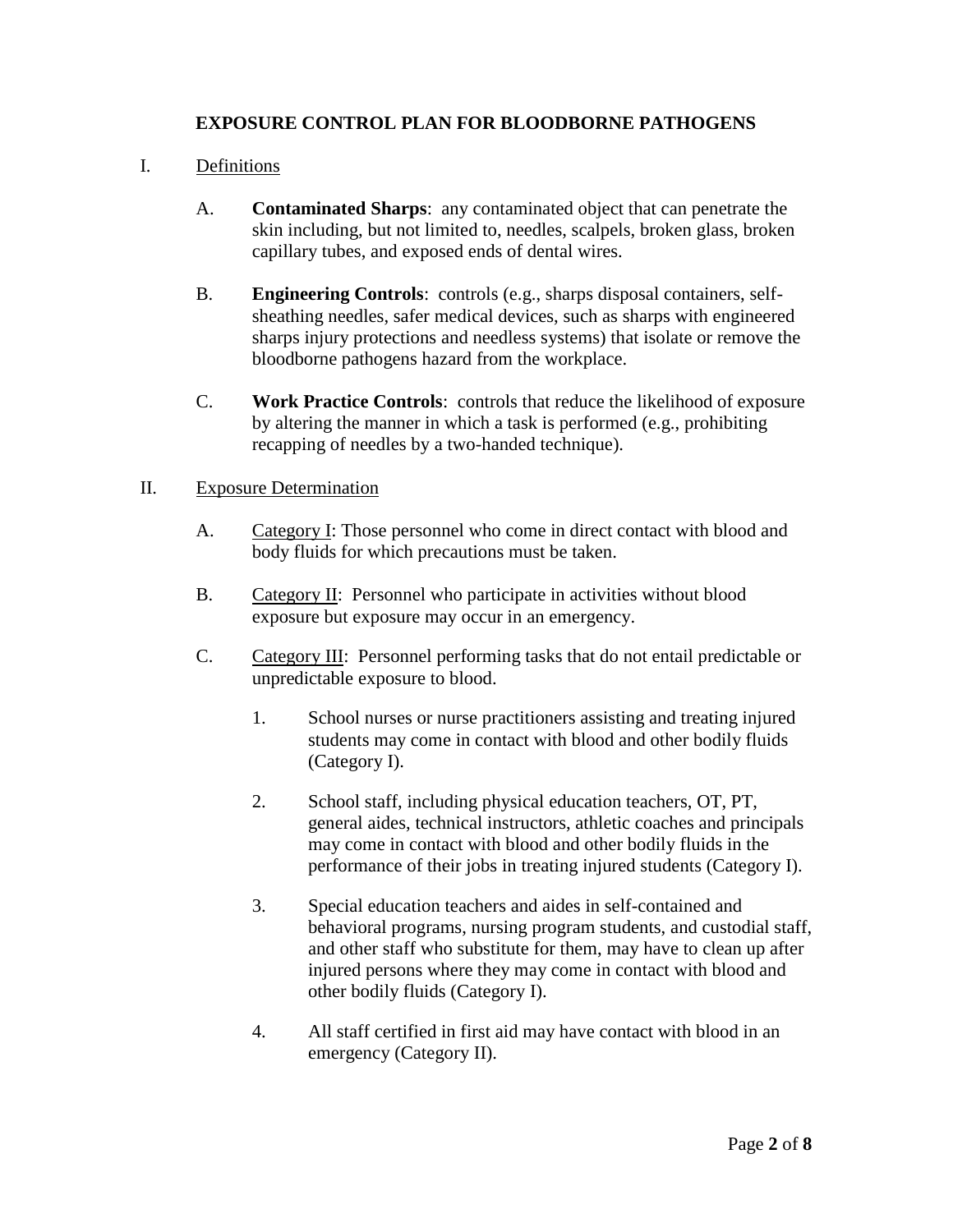## **EXPOSURE CONTROL PLAN FOR BLOODBORNE PATHOGENS**

## I. Definitions

- A. **Contaminated Sharps**: any contaminated object that can penetrate the skin including, but not limited to, needles, scalpels, broken glass, broken capillary tubes, and exposed ends of dental wires.
- B. **Engineering Controls**: controls (e.g., sharps disposal containers, selfsheathing needles, safer medical devices, such as sharps with engineered sharps injury protections and needless systems) that isolate or remove the bloodborne pathogens hazard from the workplace.
- C. **Work Practice Controls**: controls that reduce the likelihood of exposure by altering the manner in which a task is performed (e.g., prohibiting recapping of needles by a two-handed technique).

#### II. Exposure Determination

- A. Category I: Those personnel who come in direct contact with blood and body fluids for which precautions must be taken.
- B. Category II: Personnel who participate in activities without blood exposure but exposure may occur in an emergency.
- C. Category III: Personnel performing tasks that do not entail predictable or unpredictable exposure to blood.
	- 1. School nurses or nurse practitioners assisting and treating injured students may come in contact with blood and other bodily fluids (Category I).
	- 2. School staff, including physical education teachers, OT, PT, general aides, technical instructors, athletic coaches and principals may come in contact with blood and other bodily fluids in the performance of their jobs in treating injured students (Category I).
	- 3. Special education teachers and aides in self-contained and behavioral programs, nursing program students, and custodial staff, and other staff who substitute for them, may have to clean up after injured persons where they may come in contact with blood and other bodily fluids (Category I).
	- 4. All staff certified in first aid may have contact with blood in an emergency (Category II).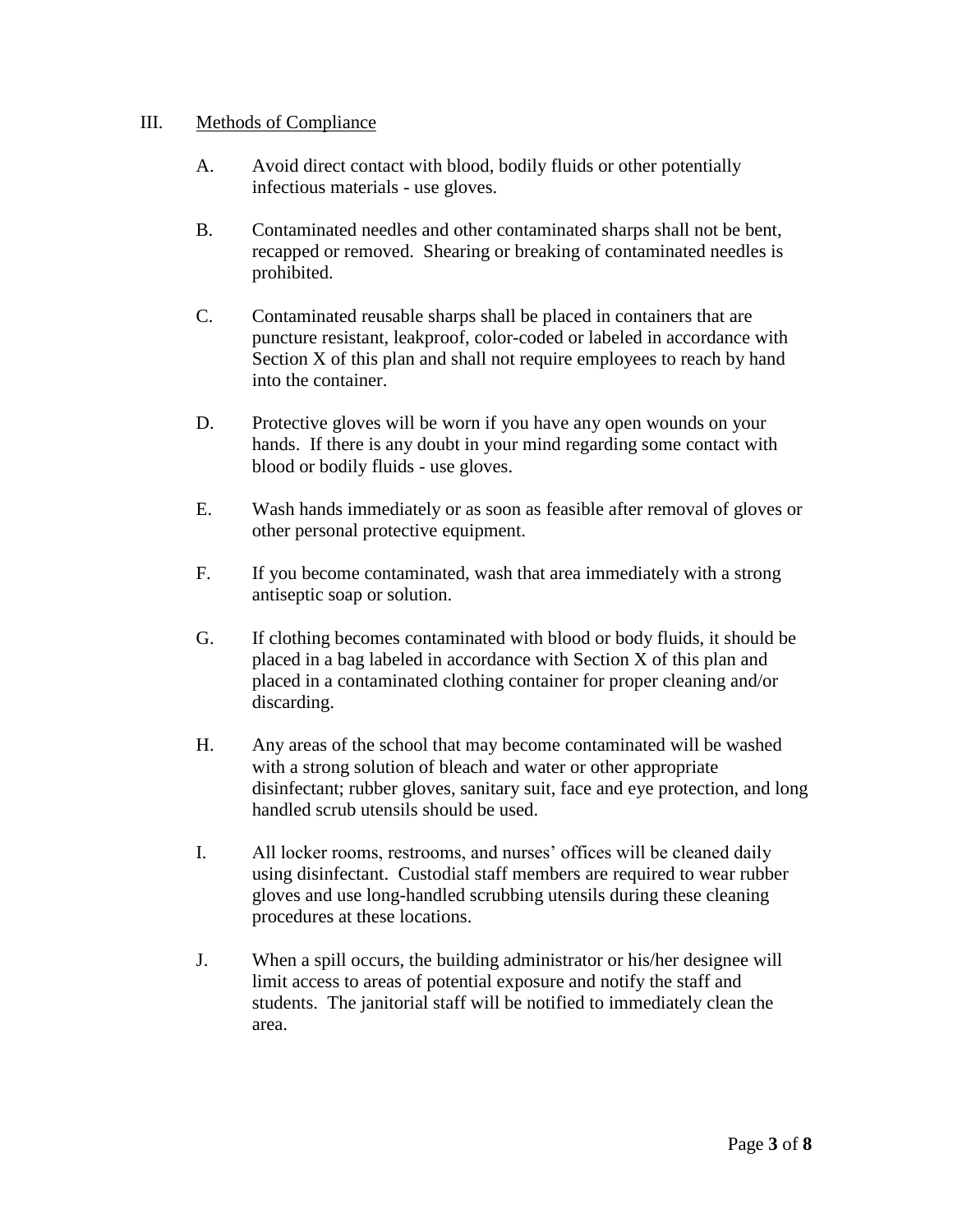## III. Methods of Compliance

- A. Avoid direct contact with blood, bodily fluids or other potentially infectious materials - use gloves.
- B. Contaminated needles and other contaminated sharps shall not be bent, recapped or removed. Shearing or breaking of contaminated needles is prohibited.
- C. Contaminated reusable sharps shall be placed in containers that are puncture resistant, leakproof, color-coded or labeled in accordance with Section X of this plan and shall not require employees to reach by hand into the container.
- D. Protective gloves will be worn if you have any open wounds on your hands. If there is any doubt in your mind regarding some contact with blood or bodily fluids - use gloves.
- E. Wash hands immediately or as soon as feasible after removal of gloves or other personal protective equipment.
- F. If you become contaminated, wash that area immediately with a strong antiseptic soap or solution.
- G. If clothing becomes contaminated with blood or body fluids, it should be placed in a bag labeled in accordance with Section X of this plan and placed in a contaminated clothing container for proper cleaning and/or discarding.
- H. Any areas of the school that may become contaminated will be washed with a strong solution of bleach and water or other appropriate disinfectant; rubber gloves, sanitary suit, face and eye protection, and long handled scrub utensils should be used.
- I. All locker rooms, restrooms, and nurses' offices will be cleaned daily using disinfectant. Custodial staff members are required to wear rubber gloves and use long-handled scrubbing utensils during these cleaning procedures at these locations.
- J. When a spill occurs, the building administrator or his/her designee will limit access to areas of potential exposure and notify the staff and students. The janitorial staff will be notified to immediately clean the area.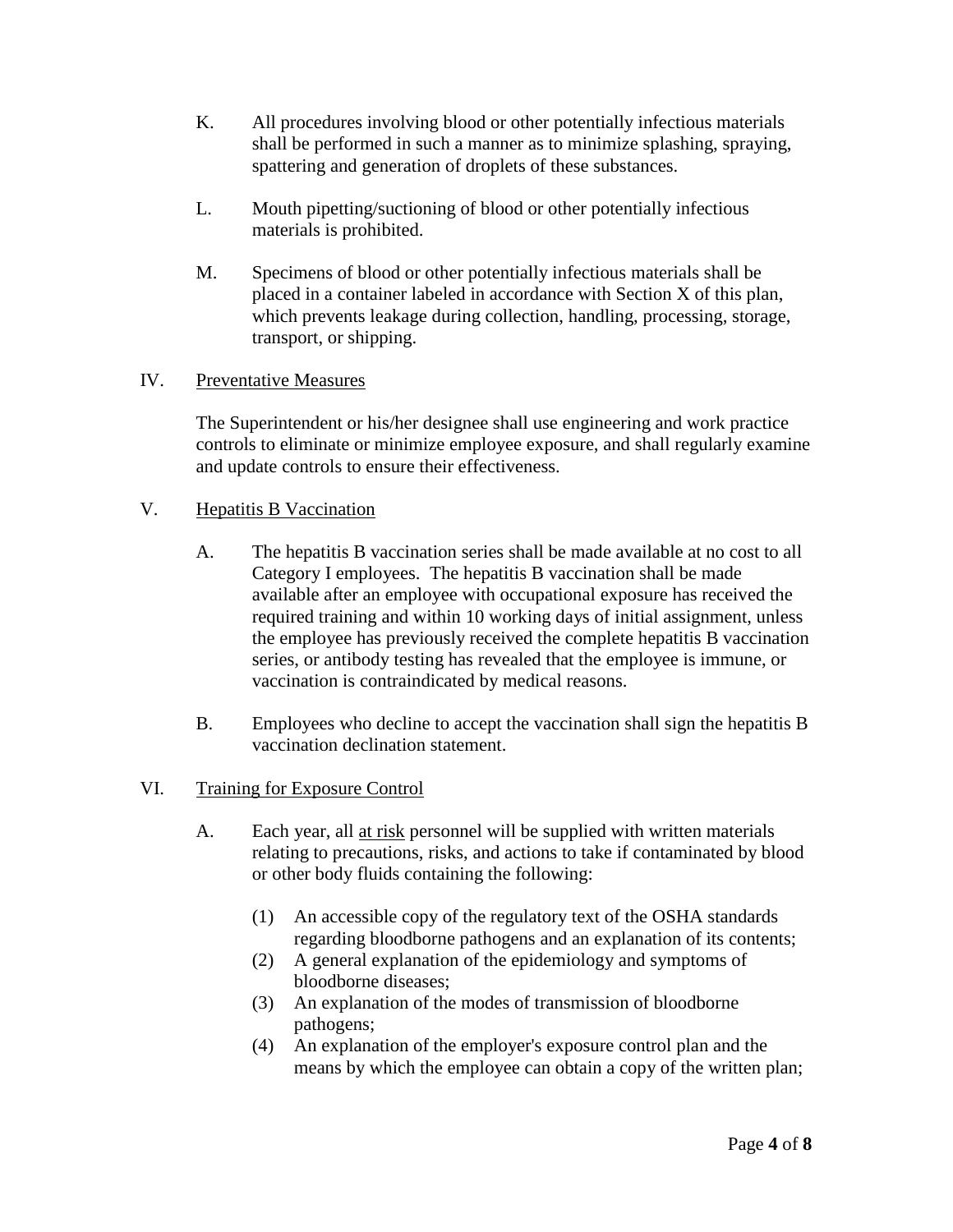- K. All procedures involving blood or other potentially infectious materials shall be performed in such a manner as to minimize splashing, spraying, spattering and generation of droplets of these substances.
- L. Mouth pipetting/suctioning of blood or other potentially infectious materials is prohibited.
- M. Specimens of blood or other potentially infectious materials shall be placed in a container labeled in accordance with Section X of this plan, which prevents leakage during collection, handling, processing, storage, transport, or shipping.

## IV. Preventative Measures

The Superintendent or his/her designee shall use engineering and work practice controls to eliminate or minimize employee exposure, and shall regularly examine and update controls to ensure their effectiveness.

## V. Hepatitis B Vaccination

- A. The hepatitis B vaccination series shall be made available at no cost to all Category I employees. The hepatitis B vaccination shall be made available after an employee with occupational exposure has received the required training and within 10 working days of initial assignment, unless the employee has previously received the complete hepatitis B vaccination series, or antibody testing has revealed that the employee is immune, or vaccination is contraindicated by medical reasons.
- B. Employees who decline to accept the vaccination shall sign the hepatitis B vaccination declination statement.

## VI. Training for Exposure Control

- A. Each year, all at risk personnel will be supplied with written materials relating to precautions, risks, and actions to take if contaminated by blood or other body fluids containing the following:
	- (1) An accessible copy of the regulatory text of the OSHA standards regarding bloodborne pathogens and an explanation of its contents;
	- (2) A general explanation of the epidemiology and symptoms of bloodborne diseases;
	- (3) An explanation of the modes of transmission of bloodborne pathogens;
	- (4) An explanation of the employer's exposure control plan and the means by which the employee can obtain a copy of the written plan;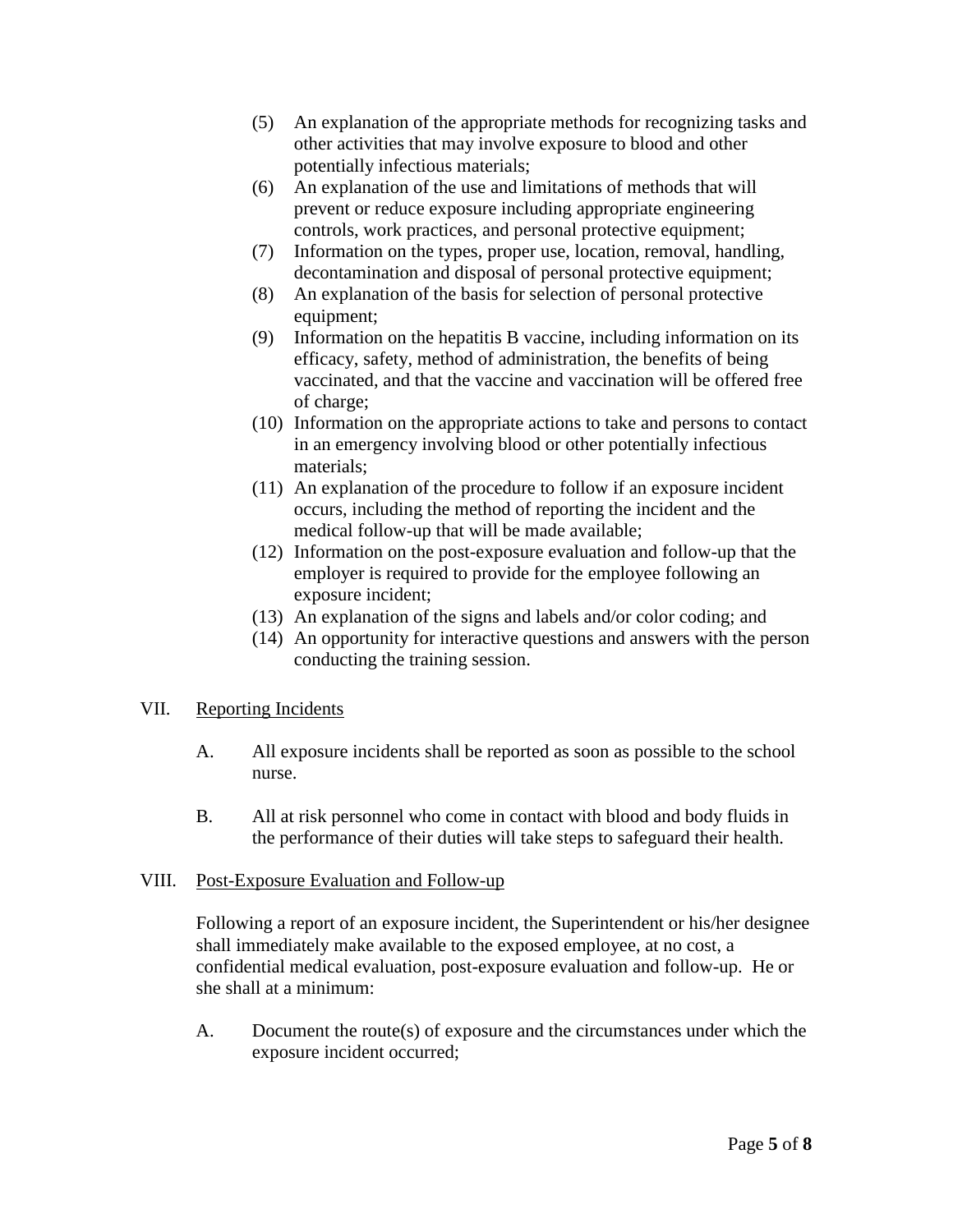- (5) An explanation of the appropriate methods for recognizing tasks and other activities that may involve exposure to blood and other potentially infectious materials;
- (6) An explanation of the use and limitations of methods that will prevent or reduce exposure including appropriate engineering controls, work practices, and personal protective equipment;
- (7) Information on the types, proper use, location, removal, handling, decontamination and disposal of personal protective equipment;
- (8) An explanation of the basis for selection of personal protective equipment:
- (9) Information on the hepatitis B vaccine, including information on its efficacy, safety, method of administration, the benefits of being vaccinated, and that the vaccine and vaccination will be offered free of charge;
- (10) Information on the appropriate actions to take and persons to contact in an emergency involving blood or other potentially infectious materials;
- (11) An explanation of the procedure to follow if an exposure incident occurs, including the method of reporting the incident and the medical follow-up that will be made available;
- (12) Information on the post-exposure evaluation and follow-up that the employer is required to provide for the employee following an exposure incident;
- (13) An explanation of the signs and labels and/or color coding; and
- (14) An opportunity for interactive questions and answers with the person conducting the training session.

# VII. Reporting Incidents

- A. All exposure incidents shall be reported as soon as possible to the school nurse.
- B. All at risk personnel who come in contact with blood and body fluids in the performance of their duties will take steps to safeguard their health.

# VIII. Post-Exposure Evaluation and Follow-up

Following a report of an exposure incident, the Superintendent or his/her designee shall immediately make available to the exposed employee, at no cost, a confidential medical evaluation, post-exposure evaluation and follow-up. He or she shall at a minimum:

A. Document the route(s) of exposure and the circumstances under which the exposure incident occurred;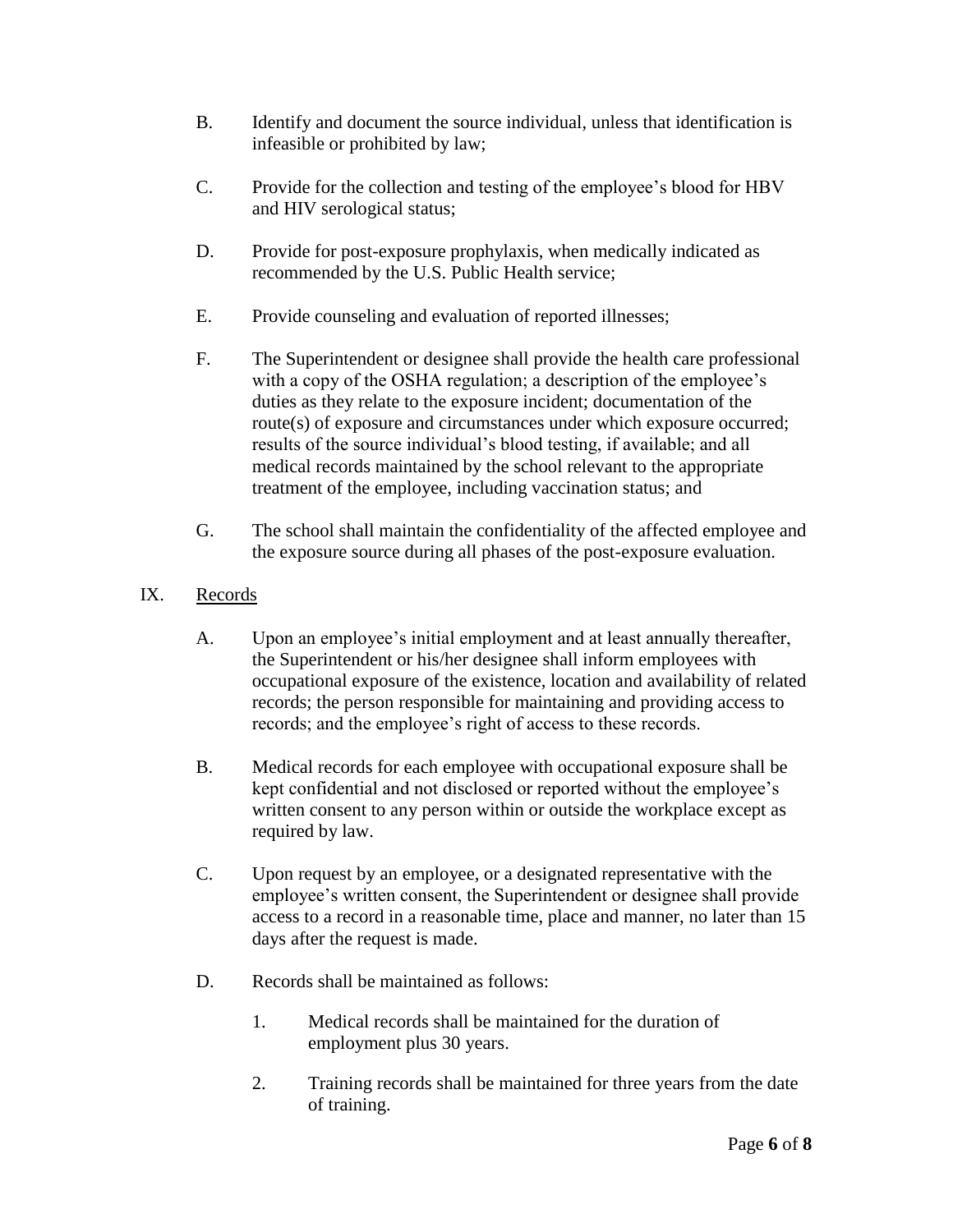- B. Identify and document the source individual, unless that identification is infeasible or prohibited by law;
- C. Provide for the collection and testing of the employee's blood for HBV and HIV serological status;
- D. Provide for post-exposure prophylaxis, when medically indicated as recommended by the U.S. Public Health service;
- E. Provide counseling and evaluation of reported illnesses;
- F. The Superintendent or designee shall provide the health care professional with a copy of the OSHA regulation; a description of the employee's duties as they relate to the exposure incident; documentation of the route(s) of exposure and circumstances under which exposure occurred; results of the source individual's blood testing, if available; and all medical records maintained by the school relevant to the appropriate treatment of the employee, including vaccination status; and
- G. The school shall maintain the confidentiality of the affected employee and the exposure source during all phases of the post-exposure evaluation.

# IX. Records

- A. Upon an employee's initial employment and at least annually thereafter, the Superintendent or his/her designee shall inform employees with occupational exposure of the existence, location and availability of related records; the person responsible for maintaining and providing access to records; and the employee's right of access to these records.
- B. Medical records for each employee with occupational exposure shall be kept confidential and not disclosed or reported without the employee's written consent to any person within or outside the workplace except as required by law.
- C. Upon request by an employee, or a designated representative with the employee's written consent, the Superintendent or designee shall provide access to a record in a reasonable time, place and manner, no later than 15 days after the request is made.
- D. Records shall be maintained as follows:
	- 1. Medical records shall be maintained for the duration of employment plus 30 years.
	- 2. Training records shall be maintained for three years from the date of training.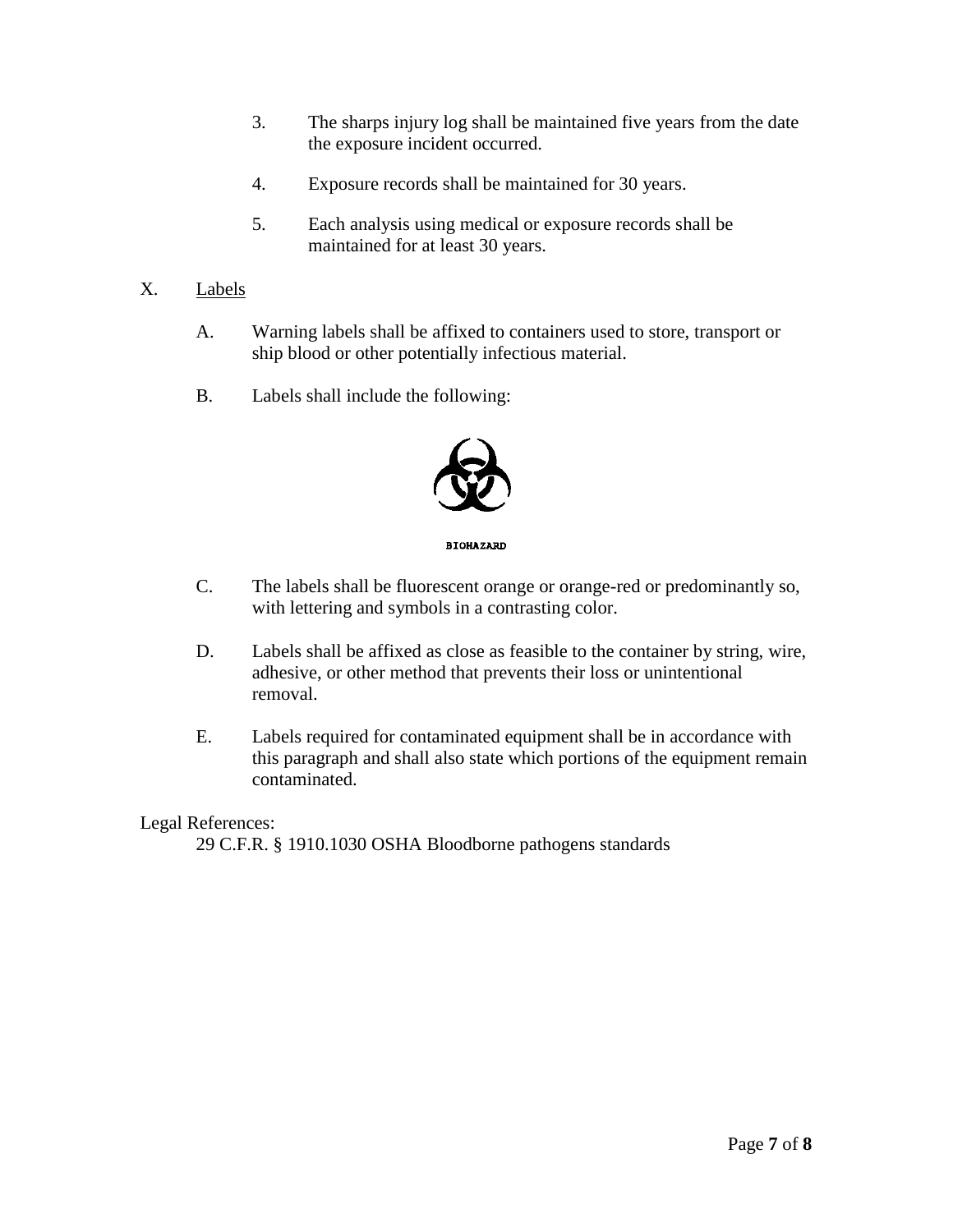- 3. The sharps injury log shall be maintained five years from the date the exposure incident occurred.
- 4. Exposure records shall be maintained for 30 years.
- 5. Each analysis using medical or exposure records shall be maintained for at least 30 years.
- X. Labels
	- A. Warning labels shall be affixed to containers used to store, transport or ship blood or other potentially infectious material.
	- B. Labels shall include the following:



**BIOHAZARD** 

- C. The labels shall be fluorescent orange or orange-red or predominantly so, with lettering and symbols in a contrasting color.
- D. Labels shall be affixed as close as feasible to the container by string, wire, adhesive, or other method that prevents their loss or unintentional removal.
- E. Labels required for contaminated equipment shall be in accordance with this paragraph and shall also state which portions of the equipment remain contaminated.

#### Legal References:

29 C.F.R. § 1910.1030 OSHA Bloodborne pathogens standards